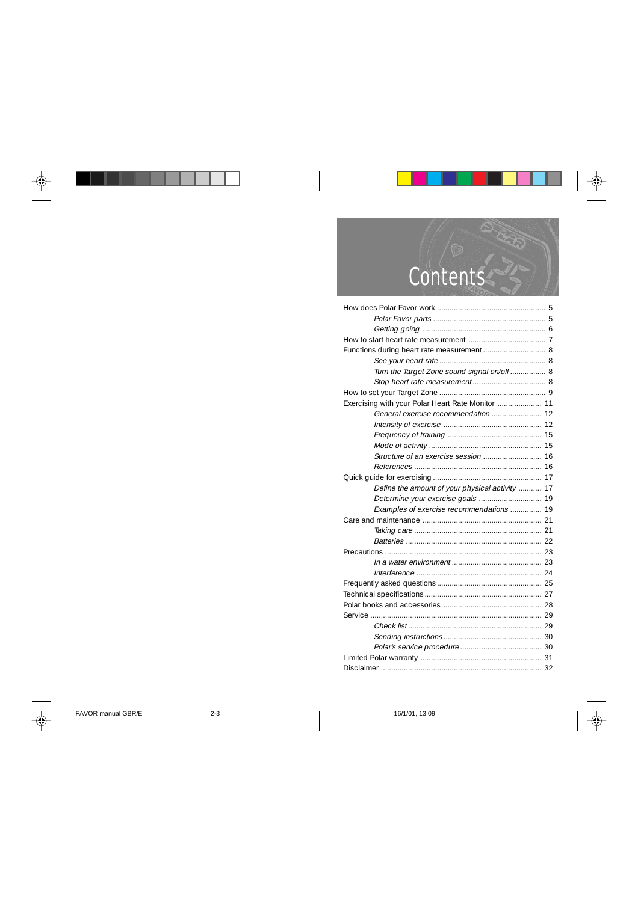



| Functions during heart rate measurement 8         |
|---------------------------------------------------|
|                                                   |
| Turn the Target Zone sound signal on/off 8        |
|                                                   |
|                                                   |
| Exercising with your Polar Heart Rate Monitor  11 |
| General exercise recommendation  12               |
|                                                   |
|                                                   |
|                                                   |
| Structure of an exercise session  16              |
|                                                   |
|                                                   |
| Define the amount of your physical activity  17   |
|                                                   |
| Examples of exercise recommendations  19          |
|                                                   |
|                                                   |
|                                                   |
|                                                   |
|                                                   |
|                                                   |
|                                                   |
|                                                   |
|                                                   |
|                                                   |
|                                                   |
|                                                   |
|                                                   |
|                                                   |
|                                                   |



ਚ

FAVOR manual GBR/E 2-3 2-3 2-3 16/1/01, 13:09

 $\overline{\bigcirc}$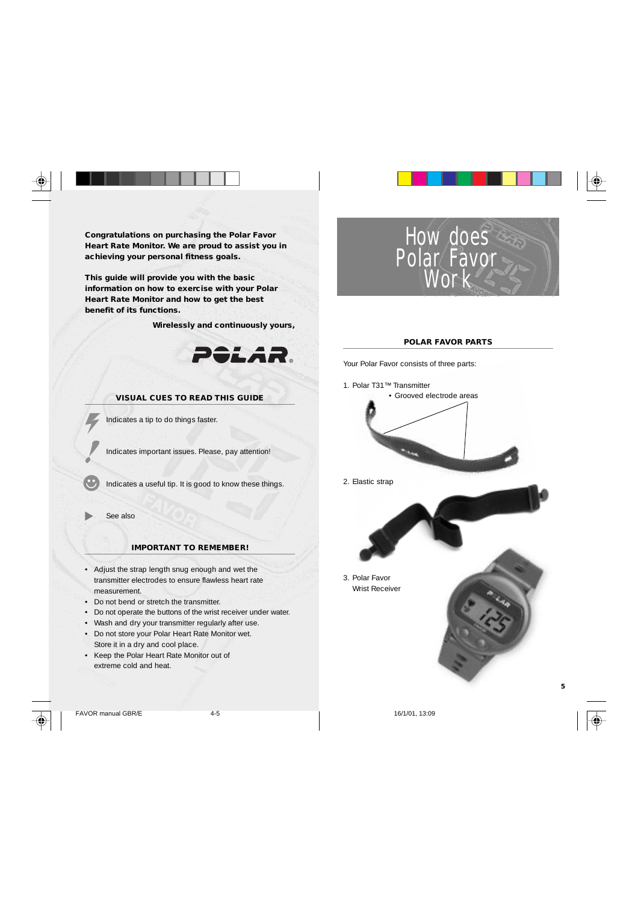**Congratulations on purchasing the Polar Favor Heart Rate Monitor. We are proud to assist you in achieving your personal fitness goals.**

**This guide will provide you with the basic information on how to exercise with your Polar Heart Rate Monitor and how to get the best benefit of its functions.**

 **Wirelessly and continuously yours,**



# **VISUAL CUES TO READ THIS GUIDE**

Indicates a tip to do things faster.

Indicates important issues. Please, pay attention!

Indicates a useful tip. It is good to know these things.

See also

# **IMPORTANT TO REMEMBER!**

- Adjust the strap length snug enough and wet the transmitter electrodes to ensure flawless heart rate measurement.
- Do not bend or stretch the transmitter.
- Do not operate the buttons of the wrist receiver under water.
- Wash and dry your transmitter regularly after use.
- Do not store your Polar Heart Rate Monitor wet.
- Store it in a dry and cool place.
- Keep the Polar Heart Rate Monitor out of extreme cold and heat.



FAVOR manual GBR/E 4-5 16/1/01, 13:09





#### **POLAR FAVOR PARTS**

Your Polar Favor consists of three parts:



2. Elastic strap

3. Polar Favor Wrist Receiver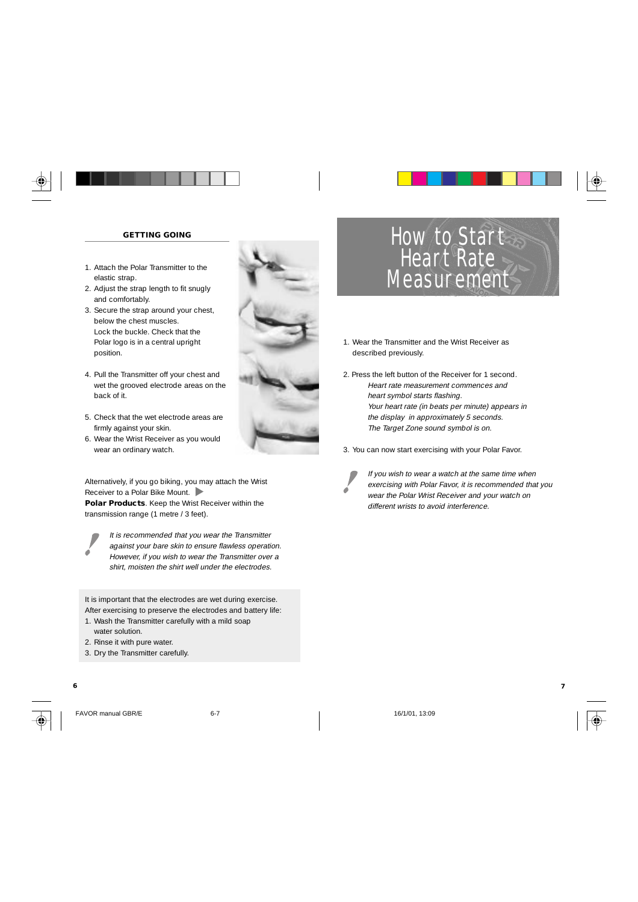

- 1. Attach the Polar Transmitter to the elastic strap.
- 2. Adjust the strap length to fit snugly and comfortably.
- 3. Secure the strap around your chest, below the chest muscles. Lock the buckle. Check that the Polar logo is in a central upright position.
- 4. Pull the Transmitter off your chest and wet the grooved electrode areas on the back of it.
- 5. Check that the wet electrode areas are firmly against your skin.
- 6. Wear the Wrist Receiver as you would wear an ordinary watch.

Alternatively, if you go biking, you may attach the Wrist Receiver to a Polar Bike Mount. **Polar Products**. Keep the Wrist Receiver within the transmission range (1 metre / 3 feet).



It is recommended that you wear the Transmitter against your bare skin to ensure flawless operation. However, if you wish to wear the Transmitter over a shirt, moisten the shirt well under the electrodes.

It is important that the electrodes are wet during exercise. After exercising to preserve the electrodes and battery life: 1. Wash the Transmitter carefully with a mild soap

- water solution.
- 2. Rinse it with pure water.
- 3. Dry the Transmitter carefully.





FAVOR manual GBR/E 6-7 6-7 16/1/01, 13:09



# How to Start Heart Rate **Measurement**

- 1. Wear the Transmitter and the Wrist Receiver as described previously.
- 2. Press the left button of the Receiver for 1 second. Heart rate measurement commences and heart symbol starts flashing. Your heart rate (in beats per minute) appears in the display in approximately 5 seconds. The Target Zone sound symbol is on.
- 3. You can now start exercising with your Polar Favor.



If you wish to wear a watch at the same time when exercising with Polar Favor, it is recommended that you wear the Polar Wrist Receiver and your watch on different wrists to avoid interference.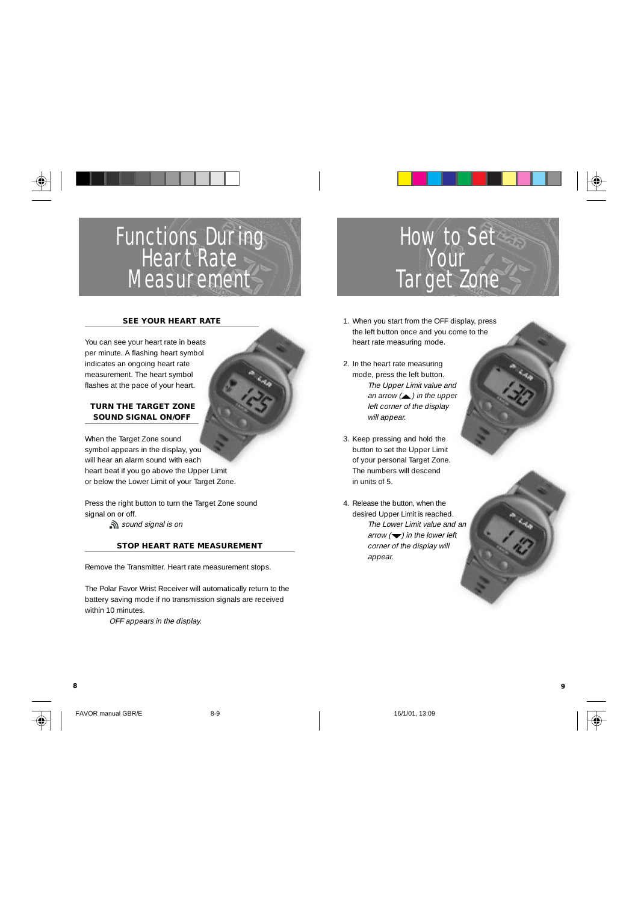# Functions During Heart Rate Measurement

### **SEE YOUR HEART RATE**

You can see your heart rate in beats per minute. A flashing heart symbol indicates an ongoing heart rate measurement. The heart symbol flashes at the pace of your heart.

# **TURN THE TARGET ZONE SOUND SIGNAL ON/OFF**

When the Target Zone sound symbol appears in the display, you will hear an alarm sound with each heart beat if you go above the Upper Limit or below the Lower Limit of your Target Zone.

Press the right button to turn the Target Zone sound signal on or off. sound signal is on

# **STOP HEART RATE MEASUREMENT**

Remove the Transmitter. Heart rate measurement stops.

The Polar Favor Wrist Receiver will automatically return to the battery saving mode if no transmission signals are received within 10 minutes.

OFF appears in the display.



# How to Set Your Target Zone

- 1. When you start from the OFF display, press the left button once and you come to the heart rate measuring mode.
- 2. In the heart rate measuring mode, press the left button. The Upper Limit value and an arrow  $($   $)$  in the upper left corner of the display will appear.
- 3. Keep pressing and hold the button to set the Upper Limit of your personal Target Zone. The numbers will descend in units of 5.
- 4. Release the button, when the desired Upper Limit is reached. The Lower Limit value and an arrow  $\left(\blacktriangleright\right)$  in the lower left corner of the display will appear.

**8 9**



FAVOR manual GBR/E 8-9 16/1/01, 13:09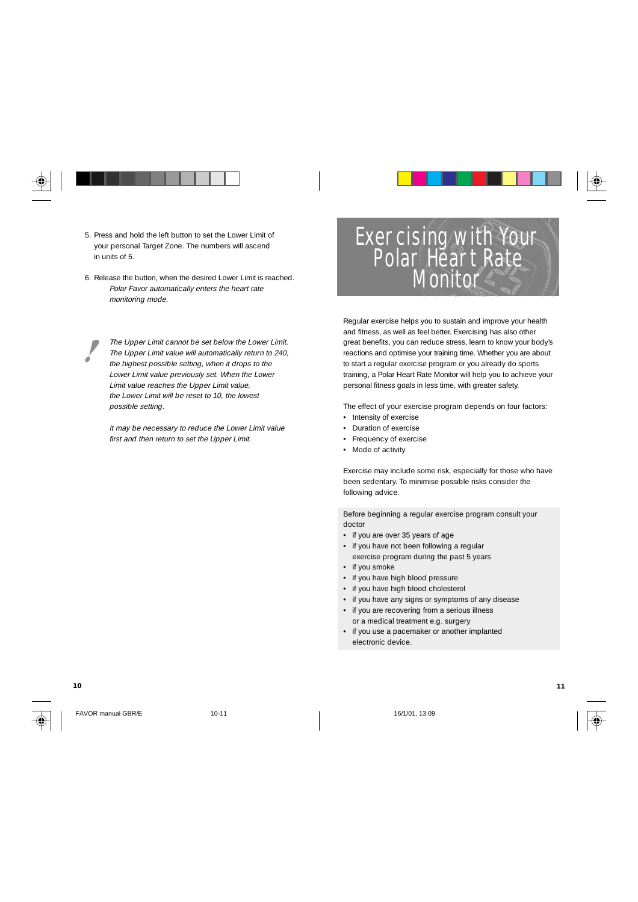

- 5. Press and hold the left button to set the Lower Limit of your personal Target Zone. The numbers will ascend in units of 5.
- 6. Release the button, when the desired Lower Limit is reached. Polar Favor automatically enters the heart rate monitoring mode.

The Upper Limit cannot be set below the Lower Limit. The Upper Limit value will automatically return to 240, the highest possible setting, when it drops to the Lower Limit value previously set. When the Lower Limit value reaches the Upper Limit value, the Lower Limit will be reset to 10, the lowest possible setting.

It may be necessary to reduce the Lower Limit value first and then return to set the Upper Limit.

# Exercising with Your Polar Heart Rate Monitor

Regular exercise helps you to sustain and improve your health and fitness, as well as feel better. Exercising has also other great benefits, you can reduce stress, learn to know your body's reactions and optimise your training time. Whether you are about to start a regular exercise program or you already do sports training, a Polar Heart Rate Monitor will help you to achieve your personal fitness goals in less time, with greater safety.

The effect of your exercise program depends on four factors:

- Intensity of exercise
- Duration of exercise
- Frequency of exercise
- Mode of activity

Exercise may include some risk, especially for those who have been sedentary. To minimise possible risks consider the following advice.

Before beginning a regular exercise program consult your doctor

- if you are over 35 years of age
- if you have not been following a regular exercise program during the past 5 years
- if you smoke
- if you have high blood pressure
- if you have high blood cholesterol
- if you have any signs or symptoms of any disease
- if you are recovering from a serious illness or a medical treatment e.g. surgery
- if you use a pacemaker or another implanted electronic device.

FAVOR manual GBR/E 10-11 10-11 16/1/01, 13:09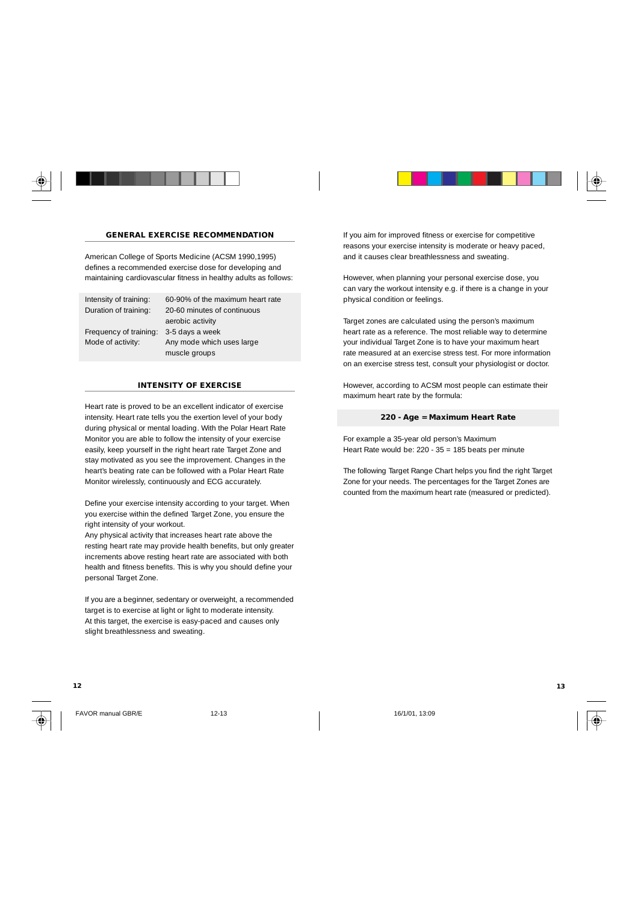

# **GENERAL EXERCISE RECOMMENDATION**

American College of Sports Medicine (ACSM 1990,1995) defines a recommended exercise dose for developing and maintaining cardiovascular fitness in healthy adults as follows:

Intensity of training: 60-90% of the maximum heart rate

Duration of training: 20-60 minutes of continuous aerobic activity Frequency of training: 3-5 days a week Mode of activity: Any mode which uses large muscle groups

#### **INTENSITY OF EXERCISE**

Heart rate is proved to be an excellent indicator of exercise intensity. Heart rate tells you the exertion level of your body during physical or mental loading. With the Polar Heart Rate Monitor you are able to follow the intensity of your exercise easily, keep yourself in the right heart rate Target Zone and stay motivated as you see the improvement. Changes in the heart's beating rate can be followed with a Polar Heart Rate Monitor wirelessly, continuously and ECG accurately.

Define your exercise intensity according to your target. When you exercise within the defined Target Zone, you ensure the right intensity of your workout.

Any physical activity that increases heart rate above the resting heart rate may provide health benefits, but only greater increments above resting heart rate are associated with both health and fitness benefits. This is why you should define your personal Target Zone.

If you are a beginner, sedentary or overweight, a recommended target is to exercise at light or light to moderate intensity. At this target, the exercise is easy-paced and causes only slight breathlessness and sweating.

If you aim for improved fitness or exercise for competitive reasons your exercise intensity is moderate or heavy paced, and it causes clear breathlessness and sweating.

However, when planning your personal exercise dose, you can vary the workout intensity e.g. if there is a change in your physical condition or feelings.

Target zones are calculated using the person's maximum heart rate as a reference. The most reliable way to determine your individual Target Zone is to have your maximum heart rate measured at an exercise stress test. For more information on an exercise stress test, consult your physiologist or doctor.

However, according to ACSM most people can estimate their maximum heart rate by the formula:

#### **220 - Age = Maximum Heart Rate**

For example a 35-year old person's Maximum Heart Rate would be: 220 - 35 = 185 beats per minute

The following Target Range Chart helps you find the right Target Zone for your needs. The percentages for the Target Zones are counted from the maximum heart rate (measured or predicted).

FAVOR manual GBR/E 12-13 16/1/01, 13:09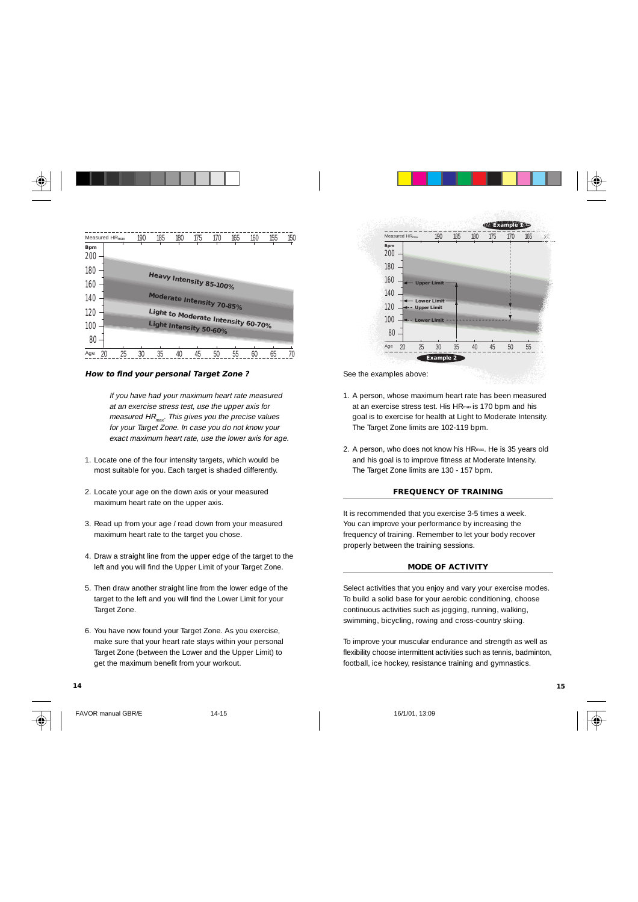| Measured HR <sub>max</sub> | 190      | 185 | 180                                | 175 | 170 | 165 | 160 | 155 | 150 |
|----------------------------|----------|-----|------------------------------------|-----|-----|-----|-----|-----|-----|
| <b>Bpm</b><br>200          |          |     |                                    |     |     |     |     |     |     |
| 180                        |          |     |                                    |     |     |     |     |     |     |
| 160                        |          |     | Heavy Intensity 85-100%            |     |     |     |     |     |     |
| 140                        |          |     | Moderate Intensity 70-85%          |     |     |     |     |     |     |
| 120                        |          |     | Light to Moderate Intensity 60-70% |     |     |     |     |     |     |
| 100                        |          |     | Light Intensity 50-60%             |     |     |     |     |     |     |
| 80                         |          |     |                                    |     |     |     |     |     |     |
| Age<br>20                  | 25<br>30 | 35  | 40                                 | 45  | 50  | 55  | 60  | 65  | 70  |

#### **How to find your personal Target Zone ?**

If you have had your maximum heart rate measured at an exercise stress test, use the upper axis for measured  $HR_{\text{max}}$ . This gives you the precise values for your Target Zone. In case you do not know your exact maximum heart rate, use the lower axis for age.

- 1. Locate one of the four intensity targets, which would be most suitable for you. Each target is shaded differently.
- 2. Locate your age on the down axis or your measured maximum heart rate on the upper axis.
- 3. Read up from your age / read down from your measured maximum heart rate to the target you chose.
- 4. Draw a straight line from the upper edge of the target to the left and you will find the Upper Limit of your Target Zone.
- 5. Then draw another straight line from the lower edge of the target to the left and you will find the Lower Limit for your Target Zone.
- 6. You have now found your Target Zone. As you exercise, make sure that your heart rate stays within your personal Target Zone (between the Lower and the Upper Limit) to get the maximum benefit from your workout.

#### **14 15**



FAVOR manual GBR/E 14-15 16/1/01, 13:09





See the examples above:

- 1. A person, whose maximum heart rate has been measured at an exercise stress test. His HRmax is 170 bpm and his goal is to exercise for health at Light to Moderate Intensity. The Target Zone limits are 102-119 bpm.
- 2. A person, who does not know his HRmax. He is 35 years old and his goal is to improve fitness at Moderate Intensity. The Target Zone limits are 130 - 157 bpm.

#### **FREQUENCY OF TRAINING**

It is recommended that you exercise 3-5 times a week. You can improve your performance by increasing the frequency of training. Remember to let your body recover properly between the training sessions.

#### **MODE OF ACTIVITY**

Select activities that you enjoy and vary your exercise modes. To build a solid base for your aerobic conditioning, choose continuous activities such as jogging, running, walking, swimming, bicycling, rowing and cross-country skiing.

To improve your muscular endurance and strength as well as flexibility choose intermittent activities such as tennis, badminton, football, ice hockey, resistance training and gymnastics.

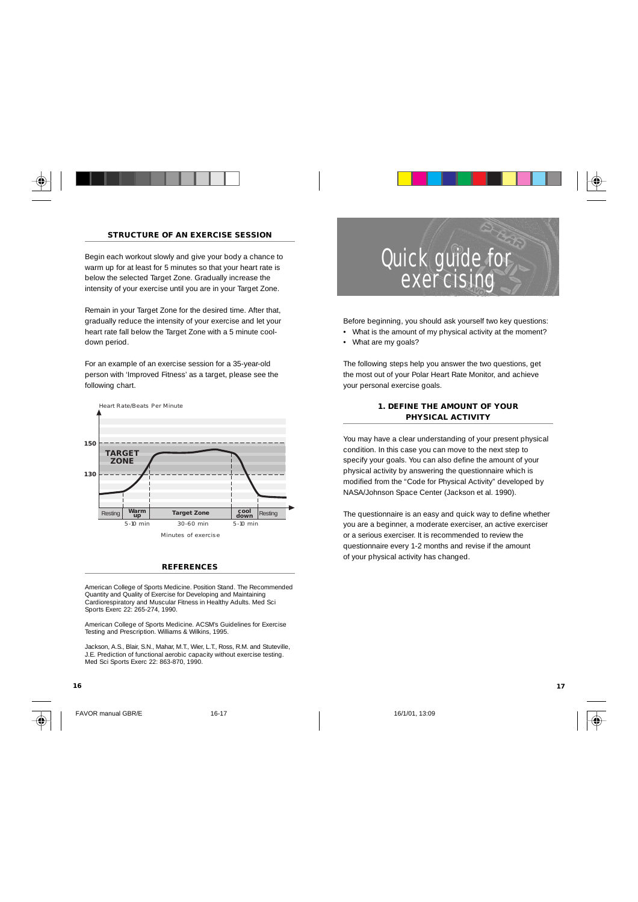

# **STRUCTURE OF AN EXERCISE SESSION**

Begin each workout slowly and give your body a chance to warm up for at least for 5 minutes so that your heart rate is below the selected Target Zone. Gradually increase the intensity of your exercise until you are in your Target Zone.

Remain in your Target Zone for the desired time. After that, gradually reduce the intensity of your exercise and let your heart rate fall below the Target Zone with a 5 minute cooldown period.

For an example of an exercise session for a 35-year-old person with 'Improved Fitness' as a target, please see the following chart.



#### **REFERENCES**

American College of Sports Medicine. Position Stand. The Recommended Quantity and Quality of Exercise for Developing and Maintaining Cardiorespiratory and Muscular Fitness in Healthy Adults. Med Sci Sports Exerc 22: 265-274, 1990.

American College of Sports Medicine. ACSM's Guidelines for Exercise Testing and Prescription. Williams & Wilkins, 1995.

Jackson, A.S., Blair, S.N., Mahar, M.T., Wier, L.T., Ross, R.M. and Stuteville, J.E. Prediction of functional aerobic capacity without exercise testing. Med Sci Sports Exerc 22: 863-870, 1990.

#### **16 17**



FAVOR manual GBR/E 16-17 16-17 16-17 16-17 16-18-18 16/1/01, 13:09



Before beginning, you should ask yourself two key questions: • What is the amount of my physical activity at the moment?

• What are my goals?

The following steps help you answer the two questions, get the most out of your Polar Heart Rate Monitor, and achieve your personal exercise goals.

### **1. DEFINE THE AMOUNT OF YOUR PHYSICAL ACTIVITY**

You may have a clear understanding of your present physical condition. In this case you can move to the next step to specify your goals. You can also define the amount of your physical activity by answering the questionnaire which is modified from the "Code for Physical Activity" developed by NASA/Johnson Space Center (Jackson et al. 1990).

The questionnaire is an easy and quick way to define whether you are a beginner, a moderate exerciser, an active exerciser or a serious exerciser. It is recommended to review the questionnaire every 1-2 months and revise if the amount of your physical activity has changed.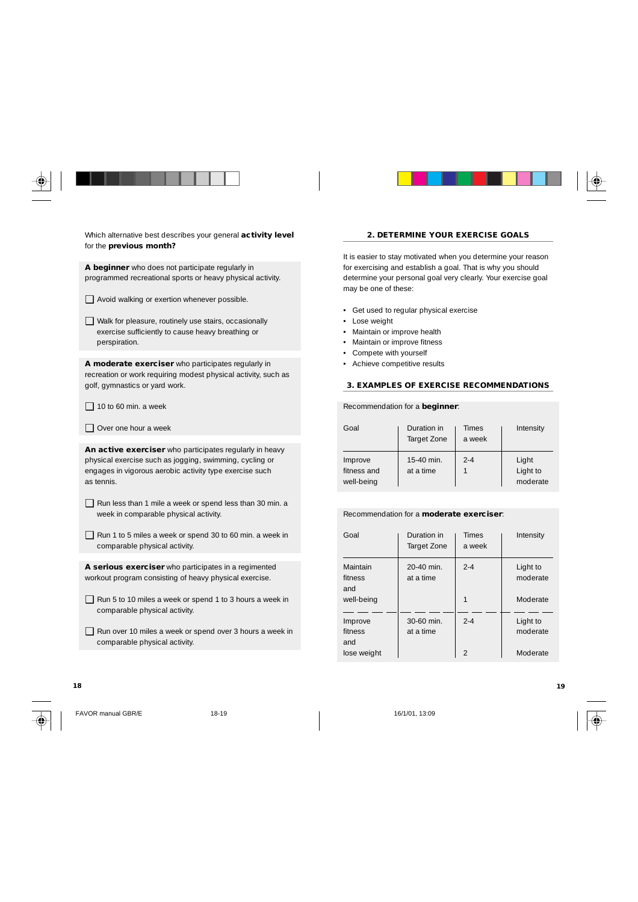





Which alternative best describes your general **activity level** for the **previous month?**

**A beginner** who does not participate regularly in programmed recreational sports or heavy physical activity.

- ❑ Avoid walking or exertion whenever possible.
- ❑ Walk for pleasure, routinely use stairs, occasionally exercise sufficiently to cause heavy breathing or perspiration.

**A moderate exerciser** who participates regularly in recreation or work requiring modest physical activity, such as golf, gymnastics or yard work.

- $\Box$  10 to 60 min. a week
- ❑ Over one hour a week

**An active exerciser** who participates regularly in heavy physical exercise such as jogging, swimming, cycling or engages in vigorous aerobic activity type exercise such as tennis.

- ❑ Run less than 1 mile a week or spend less than 30 min. a week in comparable physical activity.
- ❑ Run 1 to 5 miles a week or spend 30 to 60 min. a week in comparable physical activity.

**A serious exerciser** who participates in a regimented workout program consisting of heavy physical exercise.

- ❑ Run 5 to 10 miles a week or spend 1 to 3 hours a week in comparable physical activity.
- ❑ Run over 10 miles a week or spend over 3 hours a week in comparable physical activity.

# **2. DETERMINE YOUR EXERCISE GOALS**

It is easier to stay motivated when you determine your reason for exercising and establish a goal. That is why you should determine your personal goal very clearly. Your exercise goal may be one of these:

- Get used to regular physical exercise
- Lose weight
- Maintain or improve health
- Maintain or improve fitness
- Compete with yourself
- Achieve competitive results

### **3. EXAMPLES OF EXERCISE RECOMMENDATIONS**

Recommendation for a **beginner**:

| Goal                                 | Duration in<br>Target Zone | Times<br>a week | Intensity                     |
|--------------------------------------|----------------------------|-----------------|-------------------------------|
| Improve<br>fitness and<br>well-being | 15-40 min.<br>at a time    | $2 - 4$         | Light<br>Light to<br>moderate |

#### Recommendation for a **moderate exerciser**:

| Goal                       | Duration in<br>Target Zone | <b>Times</b><br>a week | Intensity            |
|----------------------------|----------------------------|------------------------|----------------------|
| Maintain<br>fitness<br>and | 20-40 min.<br>at a time    | $2 - 4$                | Light to<br>moderate |
| well-being                 |                            | 1                      | Moderate             |
| Improve<br>fitness<br>and  | $30-60$ min.<br>at a time  | $2 - 4$                | Light to<br>moderate |
| lose weight                |                            | $\mathfrak{D}$         | Moderate             |



FAVOR manual GBR/E 18-19 18-19 16/1/01. 13:09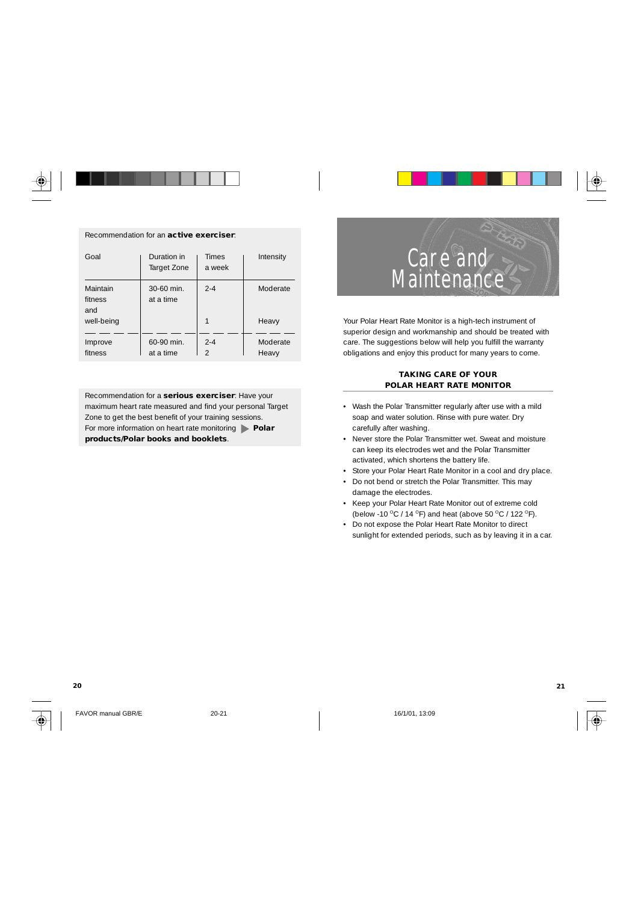#### Recommendation for an **active exerciser**:

| Goal                       | Duration in<br>Target Zone | <b>Times</b><br>a week | Intensity |
|----------------------------|----------------------------|------------------------|-----------|
| Maintain<br>fitness<br>and | 30-60 min.<br>at a time    | $2 - 4$                | Moderate  |
| well-being                 |                            | 1                      | Heavy     |
| Improve                    | 60-90 min.                 | $2 - 4$                | Moderate  |
| fitness                    | at a time                  | $\mathcal{D}$          | Heavy     |

Recommendation for a **serious exerciser**: Have your maximum heart rate measured and find your personal Target Zone to get the best benefit of your training sessions. For more information on heart rate monitoring **Polar products/Polar books and booklets**.

Care and

Your Polar Heart Rate Monitor is a high-tech instrument of superior design and workmanship and should be treated with care. The suggestions below will help you fulfill the warranty obligations and enjoy this product for many years to come.

**Maintenance** 

#### **TAKING CARE OF YOUR POLAR HEART RATE MONITOR**

- Wash the Polar Transmitter regularly after use with a mild soap and water solution. Rinse with pure water. Dry carefully after washing.
- Never store the Polar Transmitter wet. Sweat and moisture can keep its electrodes wet and the Polar Transmitter activated, which shortens the battery life.
- Store your Polar Heart Rate Monitor in a cool and dry place.
- Do not bend or stretch the Polar Transmitter. This may damage the electrodes.
- Keep your Polar Heart Rate Monitor out of extreme cold (below -10 °C / 14 °F) and heat (above 50 °C / 122 °F).
- Do not expose the Polar Heart Rate Monitor to direct sunlight for extended periods, such as by leaving it in a car.



FAVOR manual GBR/E 20-21 20-21 16/1/01. 13:09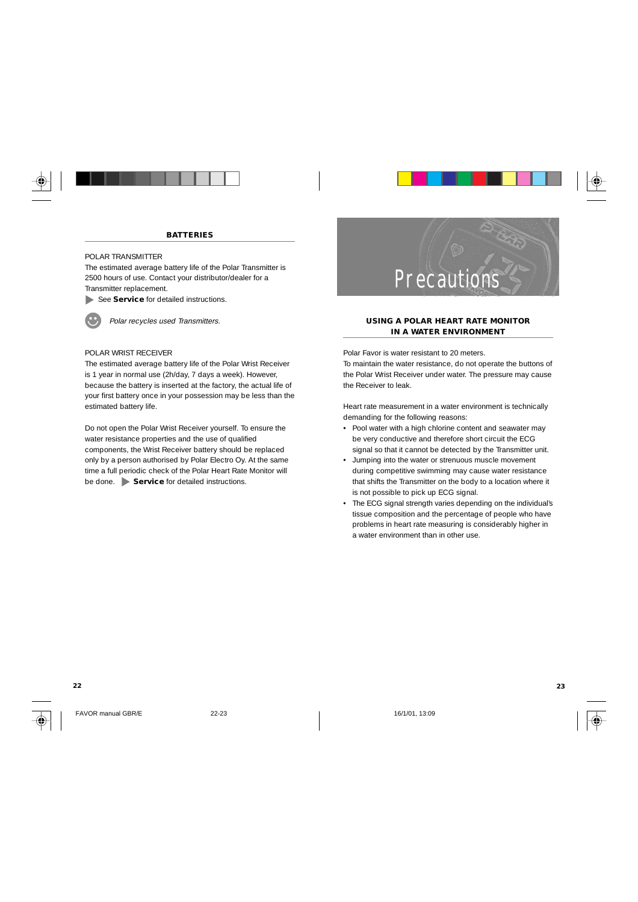

# POLAR TRANSMITTER

The estimated average battery life of the Polar Transmitter is 2500 hours of use. Contact your distributor/dealer for a Transmitter replacement.

See **Service** for detailed instructions.



Polar recycles used Transmitters.

### POLAR WRIST RECEIVER

The estimated average battery life of the Polar Wrist Receiver is 1 year in normal use (2h/day, 7 days a week). However, because the battery is inserted at the factory, the actual life of your first battery once in your possession may be less than the estimated battery life.

Do not open the Polar Wrist Receiver yourself. To ensure the water resistance properties and the use of qualified components, the Wrist Receiver battery should be replaced only by a person authorised by Polar Electro Oy. At the same time a full periodic check of the Polar Heart Rate Monitor will be done. **Service** for detailed instructions.



#### **USING A POLAR HEART RATE MONITOR IN A WATER ENVIRONMENT**

Polar Favor is water resistant to 20 meters. To maintain the water resistance, do not operate the buttons of the Polar Wrist Receiver under water. The pressure may cause the Receiver to leak.

Heart rate measurement in a water environment is technically demanding for the following reasons:

- Pool water with a high chlorine content and seawater may be very conductive and therefore short circuit the ECG signal so that it cannot be detected by the Transmitter unit.
- Jumping into the water or strenuous muscle movement during competitive swimming may cause water resistance that shifts the Transmitter on the body to a location where it is not possible to pick up ECG signal.
- The ECG signal strength varies depending on the individual's tissue composition and the percentage of people who have problems in heart rate measuring is considerably higher in a water environment than in other use.

FAVOR manual GBR/E 22-23 22-23 16/1/01, 13:09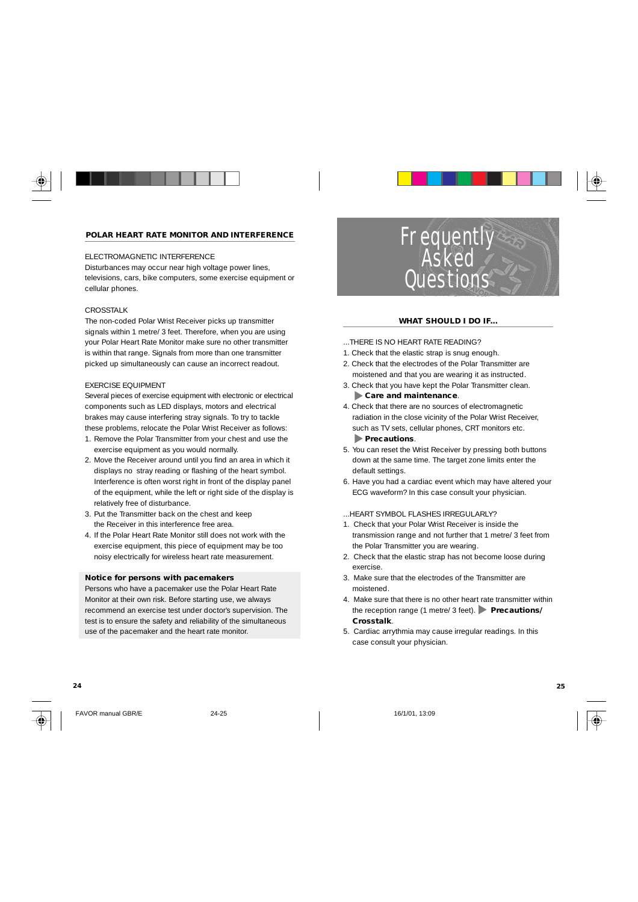### **POLAR HEART RATE MONITOR AND INTERFERENCE**

# ELECTROMAGNETIC INTERFERENCE

Disturbances may occur near high voltage power lines, televisions, cars, bike computers, some exercise equipment or cellular phones.

## CROSSTALK

The non-coded Polar Wrist Receiver picks up transmitter signals within 1 metre/ 3 feet. Therefore, when you are using your Polar Heart Rate Monitor make sure no other transmitter is within that range. Signals from more than one transmitter picked up simultaneously can cause an incorrect readout.

#### EXERCISE EQUIPMENT

Several pieces of exercise equipment with electronic or electrical components such as LED displays, motors and electrical brakes may cause interfering stray signals. To try to tackle these problems, relocate the Polar Wrist Receiver as follows:

- 1. Remove the Polar Transmitter from your chest and use the exercise equipment as you would normally.
- 2. Move the Receiver around until you find an area in which it displays no stray reading or flashing of the heart symbol. Interference is often worst right in front of the display panel of the equipment, while the left or right side of the display is relatively free of disturbance.
- 3. Put the Transmitter back on the chest and keep the Receiver in this interference free area.
- 4. If the Polar Heart Rate Monitor still does not work with the exercise equipment, this piece of equipment may be too noisy electrically for wireless heart rate measurement.

#### **Notice for persons with pacemakers**

Persons who have a pacemaker use the Polar Heart Rate Monitor at their own risk. Before starting use, we always recommend an exercise test under doctor's supervision. The test is to ensure the safety and reliability of the simultaneous use of the pacemaker and the heart rate monitor.

**Frequently Asked Questions** 

#### **WHAT SHOULD I DO IF...**

- ...THERE IS NO HEART RATE READING?
- 1. Check that the elastic strap is snug enough.
- 2. Check that the electrodes of the Polar Transmitter are moistened and that you are wearing it as instructed.
- 3. Check that you have kept the Polar Transmitter clean.  **Care and maintenance**.
- 4. Check that there are no sources of electromagnetic radiation in the close vicinity of the Polar Wrist Receiver, such as TV sets, cellular phones, CRT monitors etc.  **Precautions**.
- 5. You can reset the Wrist Receiver by pressing both buttons down at the same time. The target zone limits enter the default settings.
- 6. Have you had a cardiac event which may have altered your ECG waveform? In this case consult your physician.
- ...HEART SYMBOL FLASHES IRREGULARLY?
- 1. Check that your Polar Wrist Receiver is inside the transmission range and not further that 1 metre/ 3 feet from the Polar Transmitter you are wearing.
- 2. Check that the elastic strap has not become loose during exercise.
- 3. Make sure that the electrodes of the Transmitter are moistened.
- 4. Make sure that there is no other heart rate transmitter within the reception range (1 metre/ 3 feet). **Precautions/ Crosstalk**.
- 5. Cardiac arrythmia may cause irregular readings. In this case consult your physician.



FAVOR manual GBR/E 24-25 16/1/01, 13:09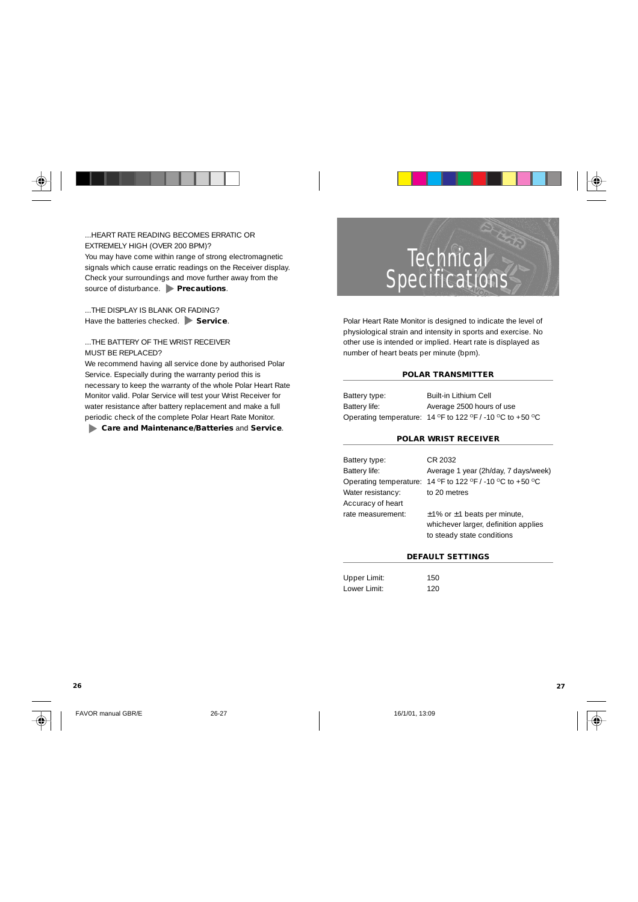

...HEART RATE READING BECOMES ERRATIC OR EXTREMELY HIGH (OVER 200 BPM)? You may have come within range of strong electromagnetic signals which cause erratic readings on the Receiver display. Check your surroundings and move further away from the source of disturbance. **Precautions**.

...THE DISPLAY IS BLANK OR FADING? Have the batteries checked. **Service**.

...THE BATTERY OF THE WRIST RECEIVER MUST BE REPLACED?

We recommend having all service done by authorised Polar Service. Especially during the warranty period this is necessary to keep the warranty of the whole Polar Heart Rate Monitor valid. Polar Service will test your Wrist Receiver for water resistance after battery replacement and make a full periodic check of the complete Polar Heart Rate Monitor.  **Care and Maintenance/Batteries** and **Service**.



Polar Heart Rate Monitor is designed to indicate the level of physiological strain and intensity in sports and exercise. No other use is intended or implied. Heart rate is displayed as number of heart beats per minute (bpm).

#### **POLAR TRANSMITTER**

| Battery type: | Built-in Lithium Cell                                     |
|---------------|-----------------------------------------------------------|
| Battery life: | Average 2500 hours of use                                 |
|               | Operating temperature: 14 °F to 122 °F / -10 °C to +50 °C |

### **POLAR WRIST RECEIVER**

| Battery type:     | CR 2032                                                   |
|-------------------|-----------------------------------------------------------|
| Battery life:     | Average 1 year (2h/day, 7 days/week)                      |
|                   | Operating temperature: 14 °F to 122 °F / -10 °C to +50 °C |
| Water resistancy: | to 20 metres                                              |
| Accuracy of heart |                                                           |
| rate measurement: | $\pm$ 1% or $\pm$ 1 beats per minute,                     |
|                   | whichever larger, definition applies                      |
|                   | to steady state conditions                                |
|                   |                                                           |

### **DEFAULT SETTINGS**

| Upper Limit: | 150 |
|--------------|-----|
| Lower Limit: | 120 |

FAVOR manual GBR/E 26-27 26-27 16/1/01, 13:09

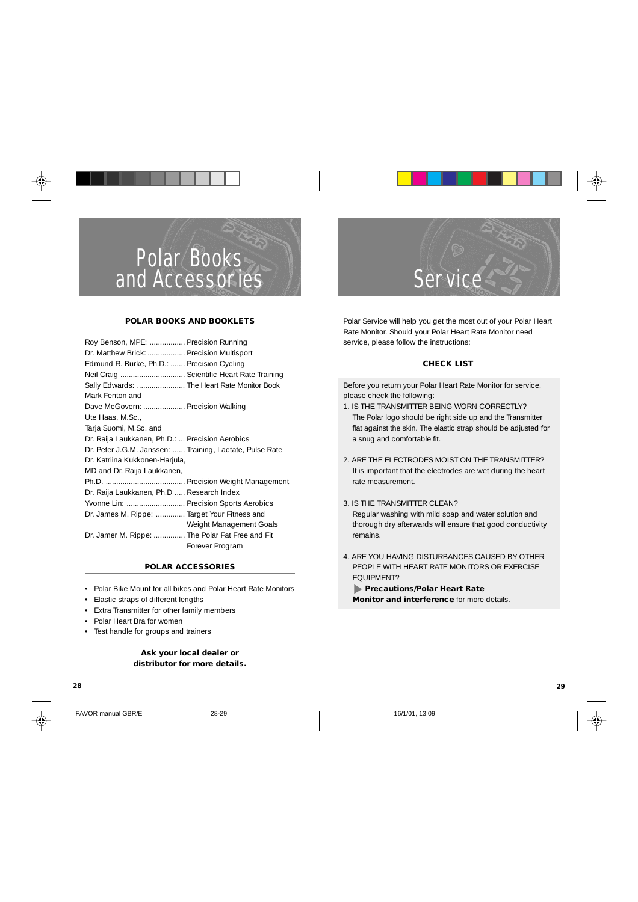

#### **POLAR BOOKS AND BOOKLETS**

| Roy Benson, MPE:  Precision Running                      |                         |
|----------------------------------------------------------|-------------------------|
| Dr. Matthew Brick:  Precision Multisport                 |                         |
| Edmund R. Burke, Ph.D.:  Precision Cycling               |                         |
| Neil Craig  Scientific Heart Rate Training               |                         |
| Sally Edwards:  The Heart Rate Monitor Book              |                         |
| Mark Fenton and                                          |                         |
| Dave McGovern:  Precision Walking                        |                         |
| Ute Haas, M.Sc.,                                         |                         |
| Tarja Suomi, M.Sc. and                                   |                         |
| Dr. Raija Laukkanen, Ph.D.:  Precision Aerobics          |                         |
| Dr. Peter J.G.M. Janssen:  Training, Lactate, Pulse Rate |                         |
| Dr. Katriina Kukkonen-Harjula,                           |                         |
| MD and Dr. Raija Laukkanen,                              |                         |
|                                                          |                         |
| Dr. Raija Laukkanen, Ph.D  Research Index                |                         |
| Yvonne Lin:  Precision Sports Aerobics                   |                         |
| Dr. James M. Rippe:  Target Your Fitness and             |                         |
|                                                          | Weight Management Goals |
| Dr. Jamer M. Rippe:  The Polar Fat Free and Fit          |                         |
|                                                          | Forever Program         |

### **POLAR ACCESSORIES**

- Polar Bike Mount for all bikes and Polar Heart Rate Monitors
- Elastic straps of different lengths
- Extra Transmitter for other family members
- Polar Heart Bra for women
- Test handle for groups and trainers

# **Ask your local dealer or distributor for more details.**



FAVOR manual GBR/E 28-29 16/1/01. 13:09



Polar Service will help you get the most out of your Polar Heart Rate Monitor. Should your Polar Heart Rate Monitor need service, please follow the instructions:

Service

#### **CHECK LIST**

Before you return your Polar Heart Rate Monitor for service, please check the following:

- 1. IS THE TRANSMITTER BEING WORN CORRECTLY? The Polar logo should be right side up and the Transmitter flat against the skin. The elastic strap should be adjusted for a snug and comfortable fit.
- 2. ARE THE ELECTRODES MOIST ON THE TRANSMITTER? It is important that the electrodes are wet during the heart rate measurement.
- 3. IS THE TRANSMITTER CLEAN? Regular washing with mild soap and water solution and thorough dry afterwards will ensure that good conductivity remains.
- 4. ARE YOU HAVING DISTURBANCES CAUSED BY OTHER PEOPLE WITH HEART RATE MONITORS OR EXERCISE EQUIPMENT?

 **Precautions/Polar Heart Rate Monitor and interference** for more details.

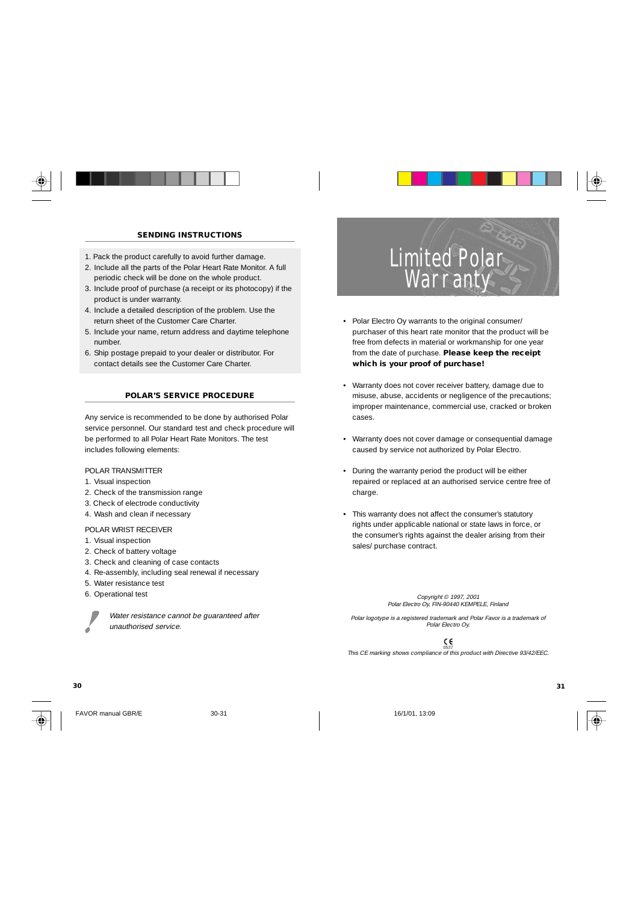# **SENDING INSTRUCTIONS**

- 1. Pack the product carefully to avoid further damage.
- 2. Include all the parts of the Polar Heart Rate Monitor. A full periodic check will be done on the whole product.
- 3. Include proof of purchase (a receipt or its photocopy) if the product is under warranty.
- 4. Include a detailed description of the problem. Use the return sheet of the Customer Care Charter.
- 5. Include your name, return address and daytime telephone number.
- 6. Ship postage prepaid to your dealer or distributor. For contact details see the Customer Care Charter.

#### **POLAR'S SERVICE PROCEDURE**

Any service is recommended to be done by authorised Polar service personnel. Our standard test and check procedure will be performed to all Polar Heart Rate Monitors. The test includes following elements:

POLAR TRANSMITTER

- 1. Visual inspection
- 2. Check of the transmission range
- 3. Check of electrode conductivity
- 4. Wash and clean if necessary

POLAR WRIST RECEIVER

- 1. Visual inspection
- 2. Check of battery voltage
- 3. Check and cleaning of case contacts
- 4. Re-assembly, including seal renewal if necessary
- 5. Water resistance test
- 6. Operational test



Water resistance cannot be guaranteed after unauthorised service.

- Limited Polar Warranty
- Polar Electro Oy warrants to the original consumer/ purchaser of this heart rate monitor that the product will be free from defects in material or workmanship for one year from the date of purchase. **Please keep the receipt which is your proof of purchase!**
- Warranty does not cover receiver battery, damage due to misuse, abuse, accidents or negligence of the precautions; improper maintenance, commercial use, cracked or broken cases.
- Warranty does not cover damage or consequential damage caused by service not authorized by Polar Electro.
- During the warranty period the product will be either repaired or replaced at an authorised service centre free of charge.
- This warranty does not affect the consumer's statutory rights under applicable national or state laws in force, or the consumer's rights against the dealer arising from their sales/ purchase contract.

# Copyright © 1997, 2001 Polar Electro Oy, FIN-90440 KEMPELE, Finland

Polar logotype is a registered trademark and Polar Favor is a trademark of Polar Electro Oy.

<sup>0537</sup><br>.This CE marking shows compliance of this product with Directive 93/42/EEC



FAVOR manual GBR/E 30-31 30-31 16/1/01. 13:09

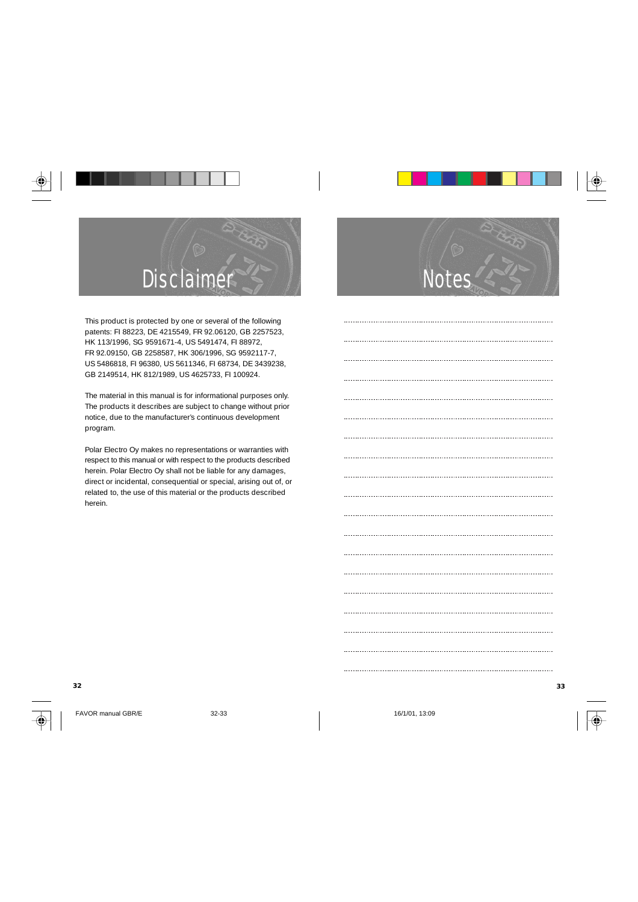

This product is protected by one or several of the following patents: FI 88223, DE 4215549, FR 92.06120, GB 2257523, HK 113/1996, SG 9591671-4, US 5491474, FI 88972, FR 92.09150, GB 2258587, HK 306/1996, SG 9592117-7, US 5486818, FI 96380, US 5611346, FI 68734, DE 3439238, GB 2149514, HK 812/1989, US 4625733, FI 100924.

The material in this manual is for informational purposes only. The products it describes are subject to change without prior notice, due to the manufacturer's continuous development program.

Polar Electro Oy makes no representations or warranties with respect to this manual or with respect to the products described herein. Polar Electro Oy shall not be liable for any damages, direct or incidental, consequential or special, arising out of, or related to, the use of this material or the products described herein.

FAVOR manual GBR/E 32-33 16/1/01, 13:09



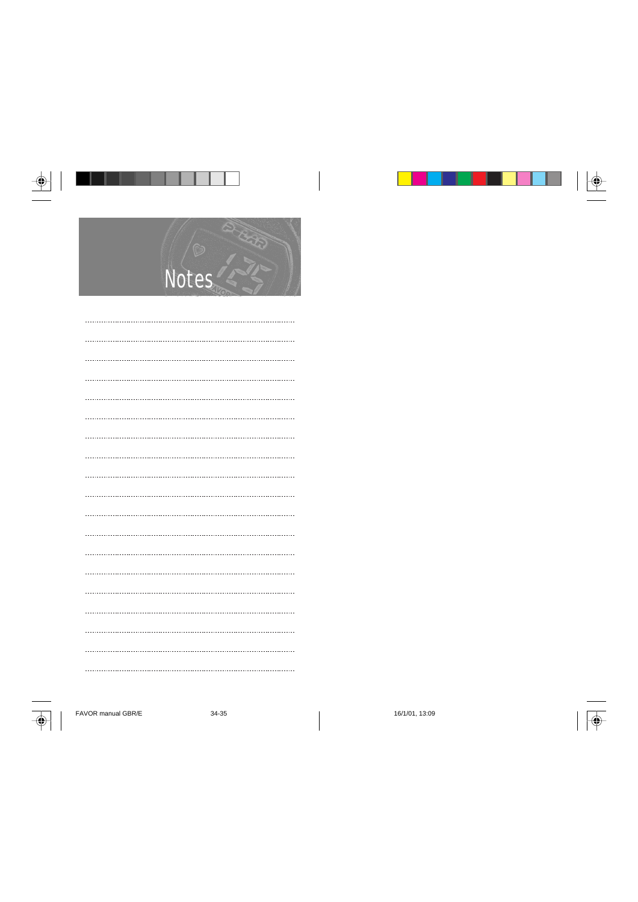

FAVOR manual GBR/E 34-35 16/1/01, 13:09